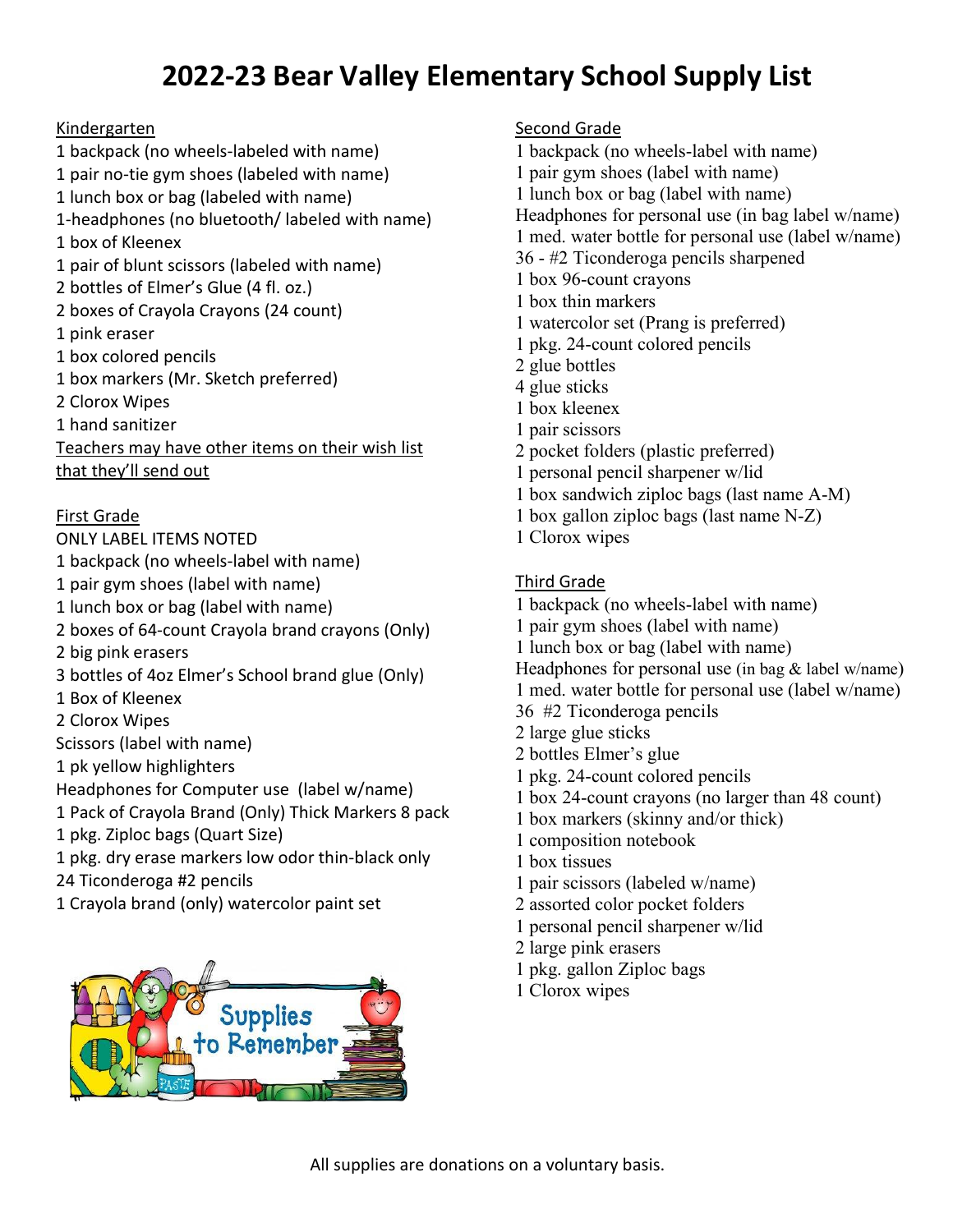# **2022-23 Bear Valley Elementary School Supply List**

### Kindergarten

1 backpack (no wheels-labeled with name) 1 pair no-tie gym shoes (labeled with name) 1 lunch box or bag (labeled with name) 1-headphones (no bluetooth/ labeled with name) 1 box of Kleenex 1 pair of blunt scissors (labeled with name) 2 bottles of Elmer's Glue (4 fl. oz.) 2 boxes of Crayola Crayons (24 count) 1 pink eraser 1 box colored pencils 1 box markers (Mr. Sketch preferred) 2 Clorox Wipes 1 hand sanitizer Teachers may have other items on their wish list that they'll send out

#### First Grade

ONLY LABEL ITEMS NOTED 1 backpack (no wheels-label with name) 1 pair gym shoes (label with name) 1 lunch box or bag (label with name) 2 boxes of 64-count Crayola brand crayons (Only) 2 big pink erasers 3 bottles of 4oz Elmer's School brand glue (Only) 1 Box of Kleenex 2 Clorox Wipes Scissors (label with name) 1 pk yellow highlighters Headphones for Computer use (label w/name) 1 Pack of Crayola Brand (Only) Thick Markers 8 pack 1 pkg. Ziploc bags (Quart Size) 1 pkg. dry erase markers low odor thin-black only 24 Ticonderoga #2 pencils 1 Crayola brand (only) watercolor paint set



### Second Grade

- 1 backpack (no wheels-label with name)
- 1 pair gym shoes (label with name)
- 1 lunch box or bag (label with name)
- Headphones for personal use (in bag label w/name)
- 1 med. water bottle for personal use (label w/name)
- 36 #2 Ticonderoga pencils sharpened
- 1 box 96-count crayons
- 1 box thin markers
- 1 watercolor set (Prang is preferred)
- 1 pkg. 24-count colored pencils
- 2 glue bottles
- 4 glue sticks
- 1 box kleenex
- 1 pair scissors
- 2 pocket folders (plastic preferred)
- 1 personal pencil sharpener w/lid
- 1 box sandwich ziploc bags (last name A-M)
- 1 box gallon ziploc bags (last name N-Z)
- 1 Clorox wipes

#### Third Grade

- 1 backpack (no wheels-label with name)
- 1 pair gym shoes (label with name)
- 1 lunch box or bag (label with name)
- Headphones for personal use (in bag & label w/name)
- 1 med. water bottle for personal use (label w/name)
- 36 #2 Ticonderoga pencils
- 2 large glue sticks
- 2 bottles Elmer's glue
- 1 pkg. 24-count colored pencils
- 1 box 24-count crayons (no larger than 48 count)
- 1 box markers (skinny and/or thick)
- 1 composition notebook
- 1 box tissues
- 1 pair scissors (labeled w/name)
- 2 assorted color pocket folders
- 1 personal pencil sharpener w/lid
- 2 large pink erasers
- 1 pkg. gallon Ziploc bags
- 1 Clorox wipes